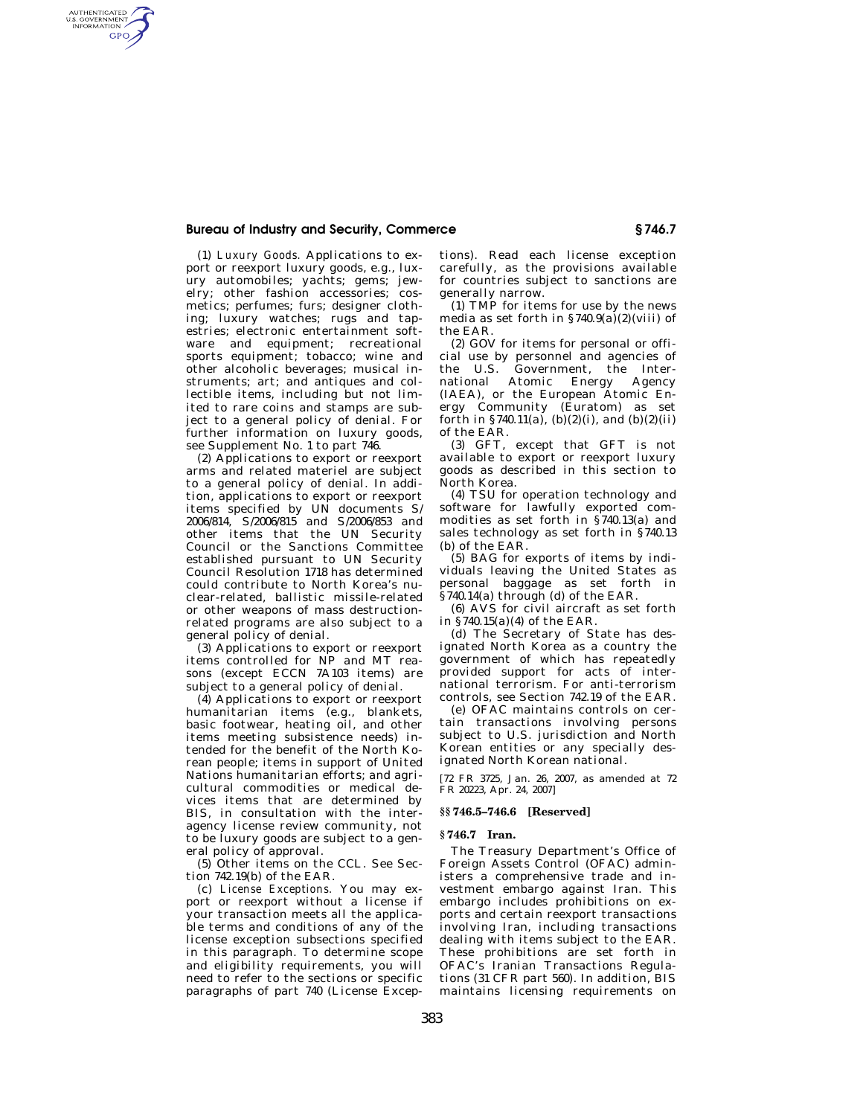## **Bureau of Industry and Security, Commerce § 746.7**

AUTHENTICATED<br>U.S. GOVERNMENT<br>INFORMATION GPO

> (1) *Luxury Goods.* Applications to export or reexport luxury goods, e.g., luxury automobiles; yachts; gems; jewelry; other fashion accessories; cosmetics; perfumes; furs; designer clothing; luxury watches; rugs and tapestries; electronic entertainment software and equipment; recreational sports equipment; tobacco; wine and other alcoholic beverages; musical instruments; art; and antiques and collectible items, including but not limited to rare coins and stamps are subject to a general policy of denial. For further information on luxury goods, see Supplement No. 1 to part 746.

> (2) Applications to export or reexport arms and related materiel are subject to a general policy of denial. In addition, applications to export or reexport items specified by UN documents S/ 2006/814, S/2006/815 and S/2006/853 and other items that the UN Security Council or the Sanctions Committee established pursuant to UN Security Council Resolution 1718 has determined could contribute to North Korea's nuclear-related, ballistic missile-related or other weapons of mass destructionrelated programs are also subject to a general policy of denial.

> (3) Applications to export or reexport items controlled for NP and MT reasons (except ECCN 7A103 items) are subject to a general policy of denial.

> (4) Applications to export or reexport humanitarian items (e.g., blankets, basic footwear, heating oil, and other items meeting subsistence needs) intended for the benefit of the North Korean people; items in support of United Nations humanitarian efforts; and agricultural commodities or medical devices items that are determined by BIS, in consultation with the interagency license review community, not to be luxury goods are subject to a general policy of approval.

> (5) Other items on the CCL. See Section 742.19(b) of the EAR.

> (c) *License Exceptions.* You may export or reexport without a license if your transaction meets all the applicable terms and conditions of any of the license exception subsections specified in this paragraph. To determine scope and eligibility requirements, you will need to refer to the sections or specific paragraphs of part 740 (License Excep

tions). Read each license exception carefully, as the provisions available for countries subject to sanctions are generally narrow.

(1) TMP for items for use by the news media as set forth in  $$740.9(a)(2)(viii)$  of the EAR.

(2) GOV for items for personal or official use by personnel and agencies of the U.S. Government, the International Atomic Energy Agency (IAEA), or the European Atomic Energy Community (Euratom) as set forth in §740.11(a), (b)(2)(i), and (b)(2)(ii) of the EAR.

(3) GFT, except that GFT is not available to export or reexport luxury goods as described in this section to North Korea.

(4) TSU for operation technology and software for lawfully exported commodities as set forth in §740.13(a) and sales technology as set forth in §740.13 (b) of the EAR.

(5) BAG for exports of items by individuals leaving the United States as personal baggage as set forth in  $§740.14$ (a) through (d) of the EAR.

(6) AVS for civil aircraft as set forth in §740.15(a)(4) of the EAR.

(d) The Secretary of State has designated North Korea as a country the government of which has repeatedly provided support for acts of international terrorism. For anti-terrorism controls, see Section 742.19 of the EAR.

(e) OFAC maintains controls on certain transactions involving persons subject to U.S. jurisdiction and North Korean entities or any specially designated North Korean national.

[72 FR 3725, Jan. 26, 2007, as amended at 72 FR 20223, Apr. 24, 2007]

## **§§ 746.5–746.6 [Reserved]**

## **§ 746.7 Iran.**

The Treasury Department's Office of Foreign Assets Control (OFAC) administers a comprehensive trade and investment embargo against Iran. This embargo includes prohibitions on exports and certain reexport transactions involving Iran, including transactions dealing with items subject to the EAR. These prohibitions are set forth in OFAC's Iranian Transactions Regulations (31 CFR part 560). In addition, BIS maintains licensing requirements on